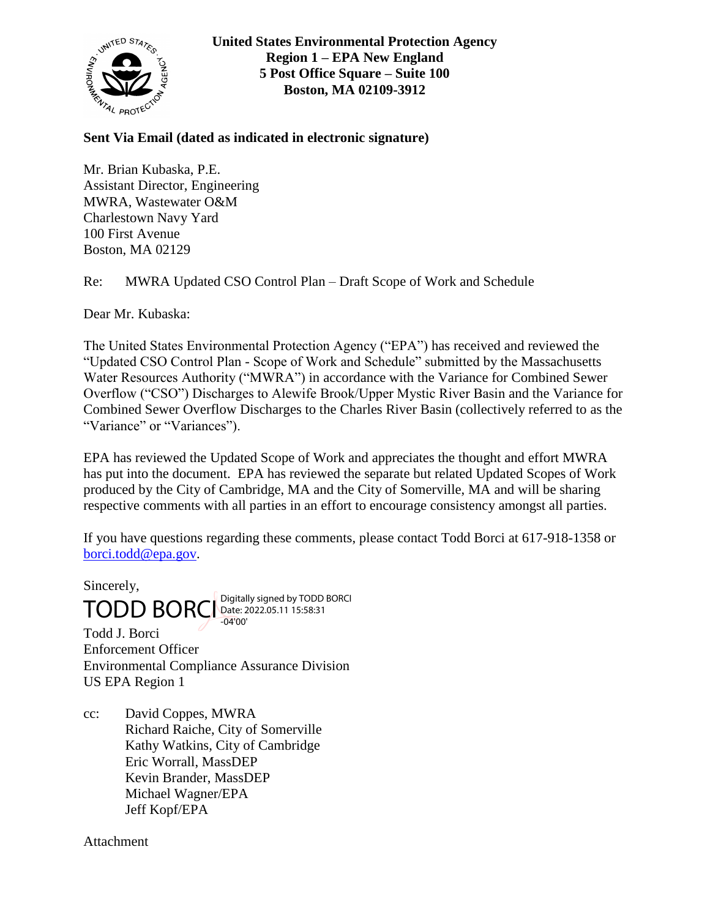

**United States Environmental Protection Agency Region 1 – EPA New England 5 Post Office Square – Suite 100 Boston, MA 02109-3912**

**Sent Via Email (dated as indicated in electronic signature)**

Mr. Brian Kubaska, P.E. Assistant Director, Engineering MWRA, Wastewater O&M Charlestown Navy Yard 100 First Avenue Boston, MA 02129

Re: MWRA Updated CSO Control Plan – Draft Scope of Work and Schedule

Dear Mr. Kubaska:

The United States Environmental Protection Agency ("EPA") has received and reviewed the "Updated CSO Control Plan - Scope of Work and Schedule" submitted by the Massachusetts Water Resources Authority ("MWRA") in accordance with the Variance for Combined Sewer Overflow ("CSO") Discharges to Alewife Brook/Upper Mystic River Basin and the Variance for Combined Sewer Overflow Discharges to the Charles River Basin (collectively referred to as the "Variance" or "Variances").

EPA has reviewed the Updated Scope of Work and appreciates the thought and effort MWRA has put into the document. EPA has reviewed the separate but related Updated Scopes of Work produced by the City of Cambridge, MA and the City of Somerville, MA and will be sharing respective comments with all parties in an effort to encourage consistency amongst all parties.

If you have questions regarding these comments, please contact Todd Borci at 617-918-1358 or [borci.todd@epa.gov.](mailto:borci.todd@epa.gov)

Sincerely,  $\text{TOPBORCI}\substack{\text{Digitally signed by TODD BORCI}\ \text{DORORCI}}$ -04'00'

Todd J. Borci Enforcement Officer Environmental Compliance Assurance Division US EPA Region 1

cc: David Coppes, MWRA Richard Raiche, City of Somerville Kathy Watkins, City of Cambridge Eric Worrall, MassDEP Kevin Brander, MassDEP Michael Wagner/EPA Jeff Kopf/EPA

**Attachment**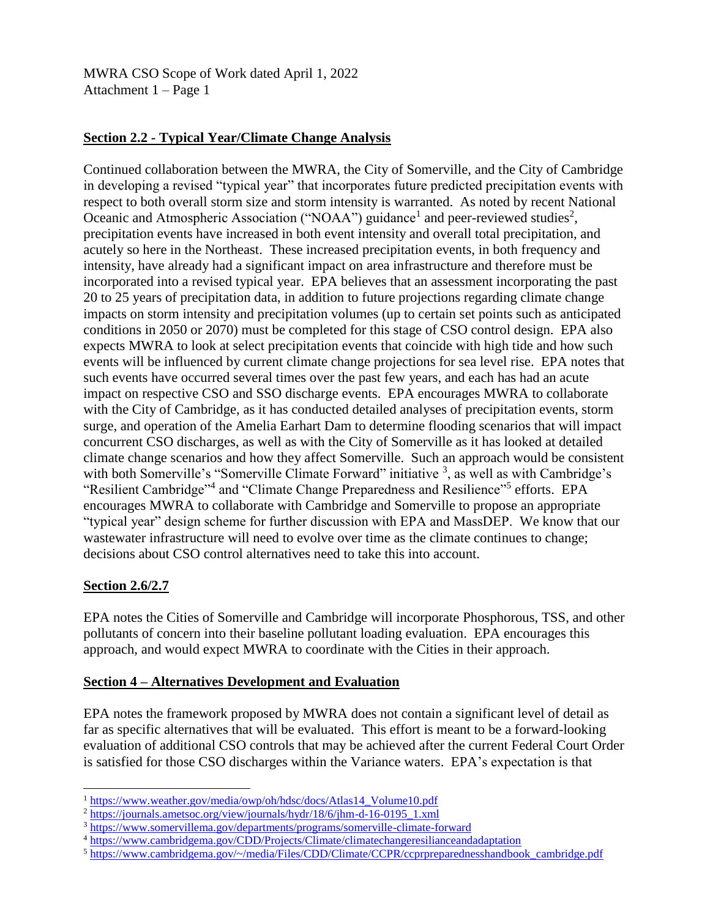MWRA CSO Scope of Work dated April 1, 2022 Attachment 1 – Page 1

## **Section 2.2 - Typical Year/Climate Change Analysis**

Continued collaboration between the MWRA, the City of Somerville, and the City of Cambridge in developing a revised "typical year" that incorporates future predicted precipitation events with respect to both overall storm size and storm intensity is warranted. As noted by recent National Oceanic and Atmospheric Association ("NOAA") guidance<sup>1</sup> and peer-reviewed studies<sup>2</sup>, precipitation events have increased in both event intensity and overall total precipitation, and acutely so here in the Northeast. These increased precipitation events, in both frequency and intensity, have already had a significant impact on area infrastructure and therefore must be incorporated into a revised typical year. EPA believes that an assessment incorporating the past 20 to 25 years of precipitation data, in addition to future projections regarding climate change impacts on storm intensity and precipitation volumes (up to certain set points such as anticipated conditions in 2050 or 2070) must be completed for this stage of CSO control design. EPA also expects MWRA to look at select precipitation events that coincide with high tide and how such events will be influenced by current climate change projections for sea level rise. EPA notes that such events have occurred several times over the past few years, and each has had an acute impact on respective CSO and SSO discharge events. EPA encourages MWRA to collaborate with the City of Cambridge, as it has conducted detailed analyses of precipitation events, storm surge, and operation of the Amelia Earhart Dam to determine flooding scenarios that will impact concurrent CSO discharges, as well as with the City of Somerville as it has looked at detailed climate change scenarios and how they affect Somerville. Such an approach would be consistent with both Somerville's "Somerville Climate Forward" initiative <sup>3</sup>, as well as with Cambridge's "Resilient Cambridge"<sup>4</sup> and "Climate Change Preparedness and Resilience"<sup>5</sup> efforts. EPA encourages MWRA to collaborate with Cambridge and Somerville to propose an appropriate "typical year" design scheme for further discussion with EPA and MassDEP. We know that our wastewater infrastructure will need to evolve over time as the climate continues to change; decisions about CSO control alternatives need to take this into account.

# **Section 2.6/2.7**

 $\overline{a}$ 

EPA notes the Cities of Somerville and Cambridge will incorporate Phosphorous, TSS, and other pollutants of concern into their baseline pollutant loading evaluation. EPA encourages this approach, and would expect MWRA to coordinate with the Cities in their approach.

### **Section 4 – Alternatives Development and Evaluation**

EPA notes the framework proposed by MWRA does not contain a significant level of detail as far as specific alternatives that will be evaluated. This effort is meant to be a forward-looking evaluation of additional CSO controls that may be achieved after the current Federal Court Order is satisfied for those CSO discharges within the Variance waters. EPA's expectation is that

<sup>1</sup> [https://www.weather.gov/media/owp/oh/hdsc/docs/Atlas14\\_Volume10.pdf](https://www.weather.gov/media/owp/oh/hdsc/docs/Atlas14_Volume10.pdf)

<sup>&</sup>lt;sup>2</sup> [https://journals.ametsoc.org/view/journals/hydr/18/6/jhm-d-16-0195\\_1.xml](https://journals.ametsoc.org/view/journals/hydr/18/6/jhm-d-16-0195_1.xml)

<sup>3</sup> <https://www.somervillema.gov/departments/programs/somerville-climate-forward>

<sup>4</sup> <https://www.cambridgema.gov/CDD/Projects/Climate/climatechangeresilianceandadaptation>

<sup>&</sup>lt;sup>5</sup> [https://www.cambridgema.gov/~/media/Files/CDD/Climate/CCPR/ccprpreparednesshandbook\\_cambridge.pdf](https://www.cambridgema.gov/~/media/Files/CDD/Climate/CCPR/ccprpreparednesshandbook_cambridge.pdf)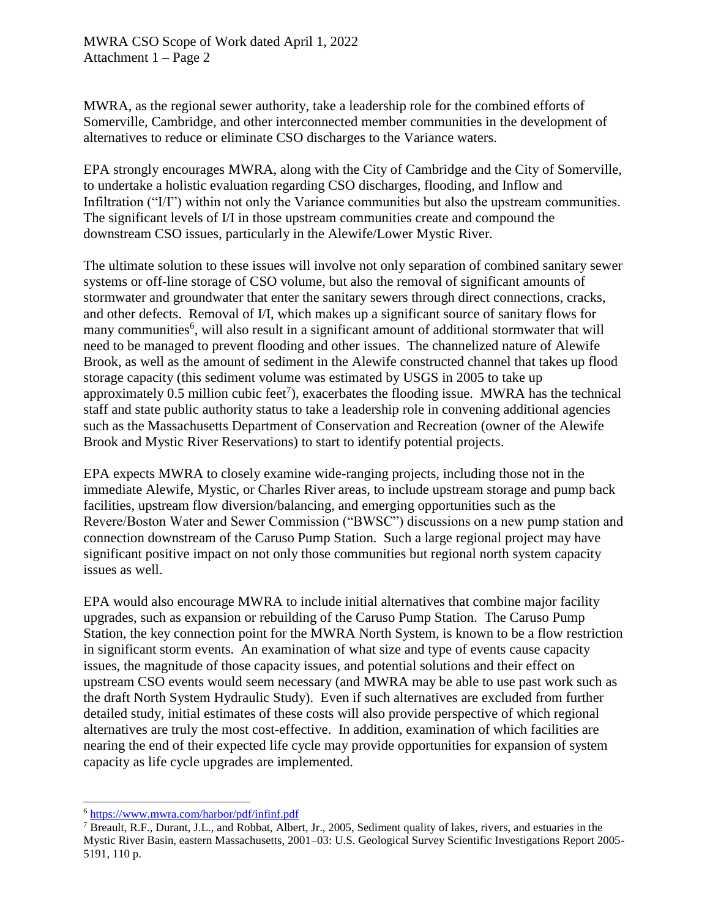MWRA CSO Scope of Work dated April 1, 2022 Attachment 1 – Page 2

MWRA, as the regional sewer authority, take a leadership role for the combined efforts of Somerville, Cambridge, and other interconnected member communities in the development of alternatives to reduce or eliminate CSO discharges to the Variance waters.

EPA strongly encourages MWRA, along with the City of Cambridge and the City of Somerville, to undertake a holistic evaluation regarding CSO discharges, flooding, and Inflow and Infiltration ("I/I") within not only the Variance communities but also the upstream communities. The significant levels of I/I in those upstream communities create and compound the downstream CSO issues, particularly in the Alewife/Lower Mystic River.

The ultimate solution to these issues will involve not only separation of combined sanitary sewer systems or off-line storage of CSO volume, but also the removal of significant amounts of stormwater and groundwater that enter the sanitary sewers through direct connections, cracks, and other defects. Removal of I/I, which makes up a significant source of sanitary flows for many communities<sup>6</sup>, will also result in a significant amount of additional stormwater that will need to be managed to prevent flooding and other issues. The channelized nature of Alewife Brook, as well as the amount of sediment in the Alewife constructed channel that takes up flood storage capacity (this sediment volume was estimated by USGS in 2005 to take up approximately 0.5 million cubic feet<sup>7</sup>), exacerbates the flooding issue. MWRA has the technical staff and state public authority status to take a leadership role in convening additional agencies such as the Massachusetts Department of Conservation and Recreation (owner of the Alewife Brook and Mystic River Reservations) to start to identify potential projects.

EPA expects MWRA to closely examine wide-ranging projects, including those not in the immediate Alewife, Mystic, or Charles River areas, to include upstream storage and pump back facilities, upstream flow diversion/balancing, and emerging opportunities such as the Revere/Boston Water and Sewer Commission ("BWSC") discussions on a new pump station and connection downstream of the Caruso Pump Station. Such a large regional project may have significant positive impact on not only those communities but regional north system capacity issues as well.

EPA would also encourage MWRA to include initial alternatives that combine major facility upgrades, such as expansion or rebuilding of the Caruso Pump Station. The Caruso Pump Station, the key connection point for the MWRA North System, is known to be a flow restriction in significant storm events. An examination of what size and type of events cause capacity issues, the magnitude of those capacity issues, and potential solutions and their effect on upstream CSO events would seem necessary (and MWRA may be able to use past work such as the draft North System Hydraulic Study). Even if such alternatives are excluded from further detailed study, initial estimates of these costs will also provide perspective of which regional alternatives are truly the most cost-effective. In addition, examination of which facilities are nearing the end of their expected life cycle may provide opportunities for expansion of system capacity as life cycle upgrades are implemented.

 $\overline{a}$ 

<sup>6</sup> <https://www.mwra.com/harbor/pdf/infinf.pdf>

<sup>7</sup> Breault, R.F., Durant, J.L., and Robbat, Albert, Jr., 2005, Sediment quality of lakes, rivers, and estuaries in the Mystic River Basin, eastern Massachusetts, 2001–03: U.S. Geological Survey Scientific Investigations Report 2005- 5191, 110 p.